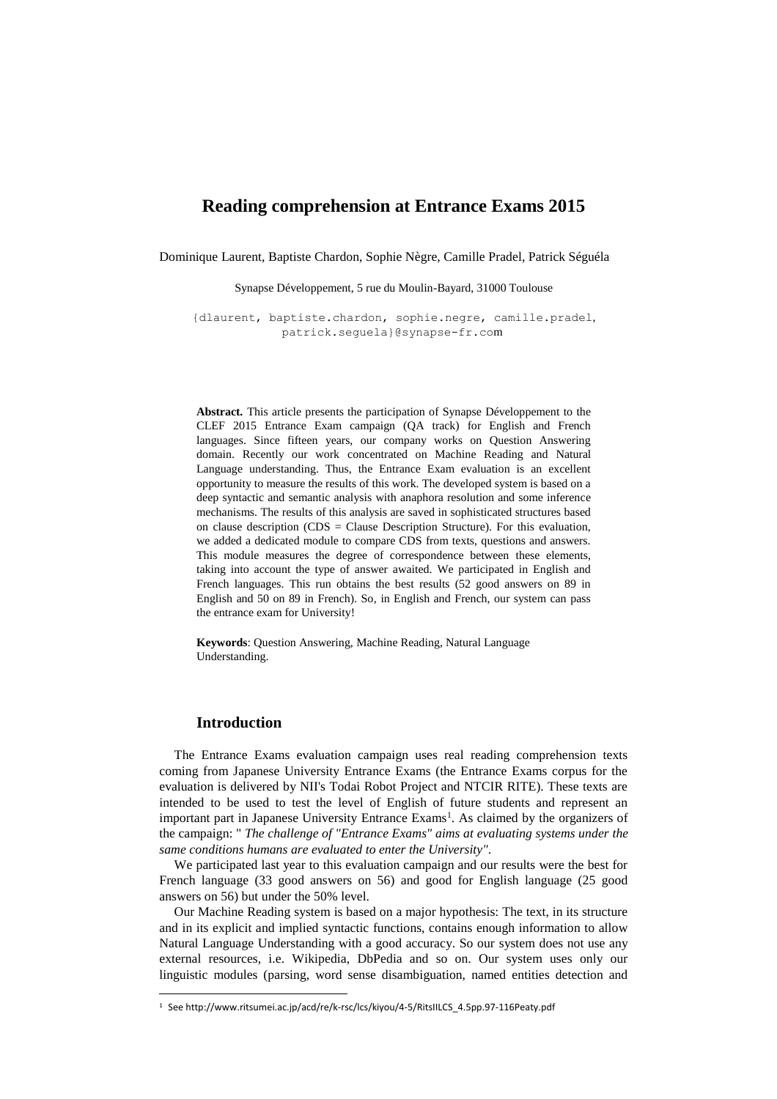# **Reading comprehension at Entrance Exams 2015**

Dominique Laurent, Baptiste Chardon, Sophie Nègre, Camille Pradel, Patrick Séguéla

Synapse Développement, 5 rue du Moulin-Bayard, 31000 Toulouse

{dlaurent, baptiste.chardon, sophie.negre, camille.pradel, patrick.seguela}@synapse-fr.com

**Abstract.** This article presents the participation of Synapse Développement to the CLEF 2015 Entrance Exam campaign (QA track) for English and French languages. Since fifteen years, our company works on Question Answering domain. Recently our work concentrated on Machine Reading and Natural Language understanding. Thus, the Entrance Exam evaluation is an excellent opportunity to measure the results of this work. The developed system is based on a deep syntactic and semantic analysis with anaphora resolution and some inference mechanisms. The results of this analysis are saved in sophisticated structures based on clause description ( $CDS = Clause$  Description Structure). For this evaluation, we added a dedicated module to compare CDS from texts, questions and answers. This module measures the degree of correspondence between these elements, taking into account the type of answer awaited. We participated in English and French languages. This run obtains the best results (52 good answers on 89 in English and 50 on 89 in French). So, in English and French, our system can pass the entrance exam for University!

**Keywords**: Question Answering, Machine Reading, Natural Language Understanding.

## **Introduction**

 $\overline{a}$ 

The Entrance Exams evaluation campaign uses real reading comprehension texts coming from Japanese University Entrance Exams (the Entrance Exams corpus for the evaluation is delivered by NII's Todai Robot Project and NTCIR RITE). These texts are intended to be used to test the level of English of future students and represent an important part in Japanese University Entrance Exams<sup>1</sup>. As claimed by the organizers of the campaign: " *The challenge of "Entrance Exams" aims at evaluating systems under the same conditions humans are evaluated to enter the University".*

We participated last year to this evaluation campaign and our results were the best for French language (33 good answers on 56) and good for English language (25 good answers on 56) but under the 50% level.

Our Machine Reading system is based on a major hypothesis: The text, in its structure and in its explicit and implied syntactic functions, contains enough information to allow Natural Language Understanding with a good accuracy. So our system does not use any external resources, i.e. Wikipedia, DbPedia and so on. Our system uses only our linguistic modules (parsing, word sense disambiguation, named entities detection and

<sup>1</sup> See http://www.ritsumei.ac.jp/acd/re/k-rsc/lcs/kiyou/4-5/RitsIILCS\_4.5pp.97-116Peaty.pdf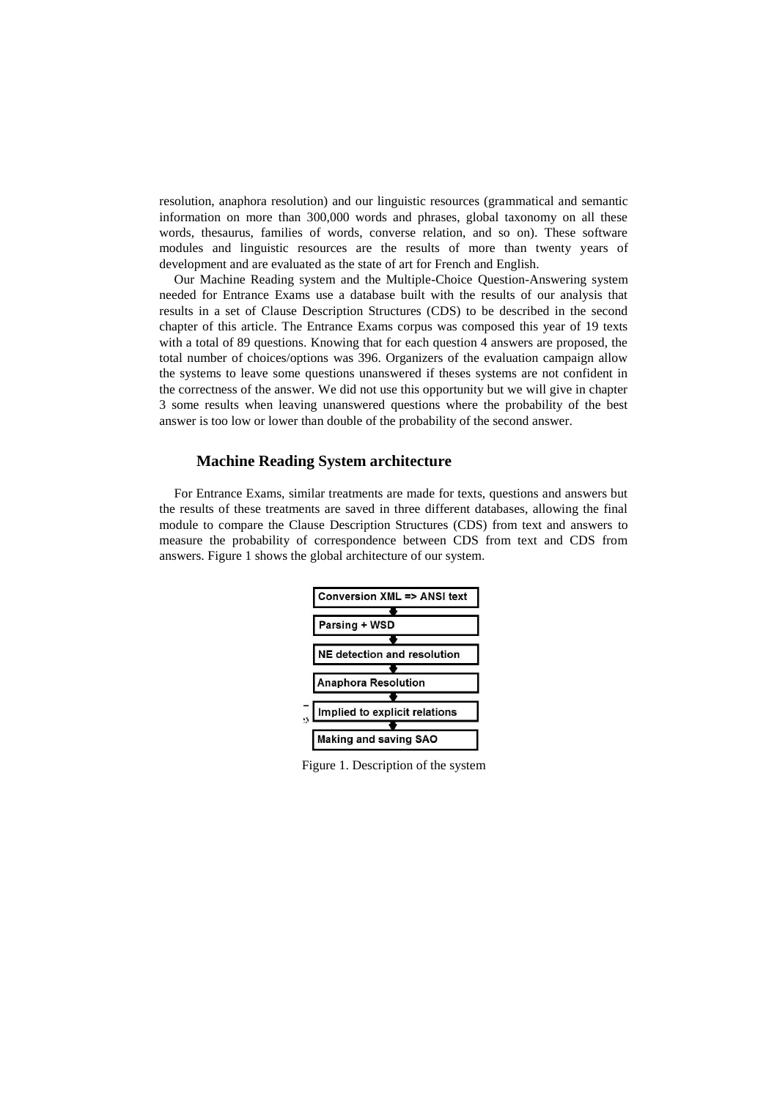resolution, anaphora resolution) and our linguistic resources (grammatical and semantic information on more than 300,000 words and phrases, global taxonomy on all these words, thesaurus, families of words, converse relation, and so on). These software modules and linguistic resources are the results of more than twenty years of development and are evaluated as the state of art for French and English.

Our Machine Reading system and the Multiple-Choice Question-Answering system needed for Entrance Exams use a database built with the results of our analysis that results in a set of Clause Description Structures (CDS) to be described in the second chapter of this article. The Entrance Exams corpus was composed this year of 19 texts with a total of 89 questions. Knowing that for each question 4 answers are proposed, the total number of choices/options was 396. Organizers of the evaluation campaign allow the systems to leave some questions unanswered if theses systems are not confident in the correctness of the answer. We did not use this opportunity but we will give in chapter 3 some results when leaving unanswered questions where the probability of the best answer is too low or lower than double of the probability of the second answer.

#### **Machine Reading System architecture**

For Entrance Exams, similar treatments are made for texts, questions and answers but the results of these treatments are saved in three different databases, allowing the final module to compare the Clause Description Structures (CDS) from text and answers to measure the probability of correspondence between CDS from text and CDS from answers. Figure 1 shows the global architecture of our system.



Figure 1. Description of the system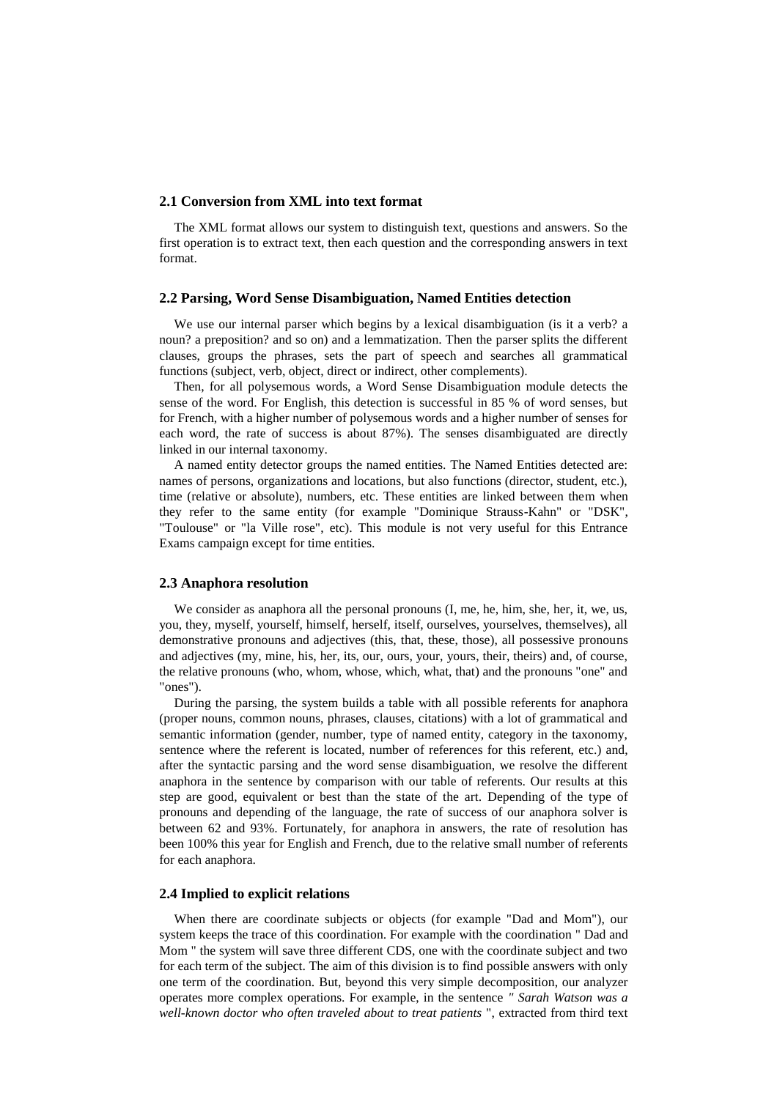### **2.1 Conversion from XML into text format**

The XML format allows our system to distinguish text, questions and answers. So the first operation is to extract text, then each question and the corresponding answers in text format.

#### **2.2 Parsing, Word Sense Disambiguation, Named Entities detection**

We use our internal parser which begins by a lexical disambiguation (is it a verb? a noun? a preposition? and so on) and a lemmatization. Then the parser splits the different clauses, groups the phrases, sets the part of speech and searches all grammatical functions (subject, verb, object, direct or indirect, other complements).

Then, for all polysemous words, a Word Sense Disambiguation module detects the sense of the word. For English, this detection is successful in 85 % of word senses, but for French, with a higher number of polysemous words and a higher number of senses for each word, the rate of success is about 87%). The senses disambiguated are directly linked in our internal taxonomy.

A named entity detector groups the named entities. The Named Entities detected are: names of persons, organizations and locations, but also functions (director, student, etc.), time (relative or absolute), numbers, etc. These entities are linked between them when they refer to the same entity (for example "Dominique Strauss-Kahn" or "DSK", "Toulouse" or "la Ville rose", etc). This module is not very useful for this Entrance Exams campaign except for time entities.

#### **2.3 Anaphora resolution**

We consider as anaphora all the personal pronouns  $(I, me, he, him, she, her, it, we, us,$ you, they, myself, yourself, himself, herself, itself, ourselves, yourselves, themselves), all demonstrative pronouns and adjectives (this, that, these, those), all possessive pronouns and adjectives (my, mine, his, her, its, our, ours, your, yours, their, theirs) and, of course, the relative pronouns (who, whom, whose, which, what, that) and the pronouns "one" and "ones").

During the parsing, the system builds a table with all possible referents for anaphora (proper nouns, common nouns, phrases, clauses, citations) with a lot of grammatical and semantic information (gender, number, type of named entity, category in the taxonomy, sentence where the referent is located, number of references for this referent, etc.) and, after the syntactic parsing and the word sense disambiguation, we resolve the different anaphora in the sentence by comparison with our table of referents. Our results at this step are good, equivalent or best than the state of the art. Depending of the type of pronouns and depending of the language, the rate of success of our anaphora solver is between 62 and 93%. Fortunately, for anaphora in answers, the rate of resolution has been 100% this year for English and French, due to the relative small number of referents for each anaphora.

#### **2.4 Implied to explicit relations**

When there are coordinate subjects or objects (for example "Dad and Mom"), our system keeps the trace of this coordination. For example with the coordination " Dad and Mom " the system will save three different CDS, one with the coordinate subject and two for each term of the subject. The aim of this division is to find possible answers with only one term of the coordination. But, beyond this very simple decomposition, our analyzer operates more complex operations. For example, in the sentence *" Sarah Watson was a well-known doctor who often traveled about to treat patients* ", extracted from third text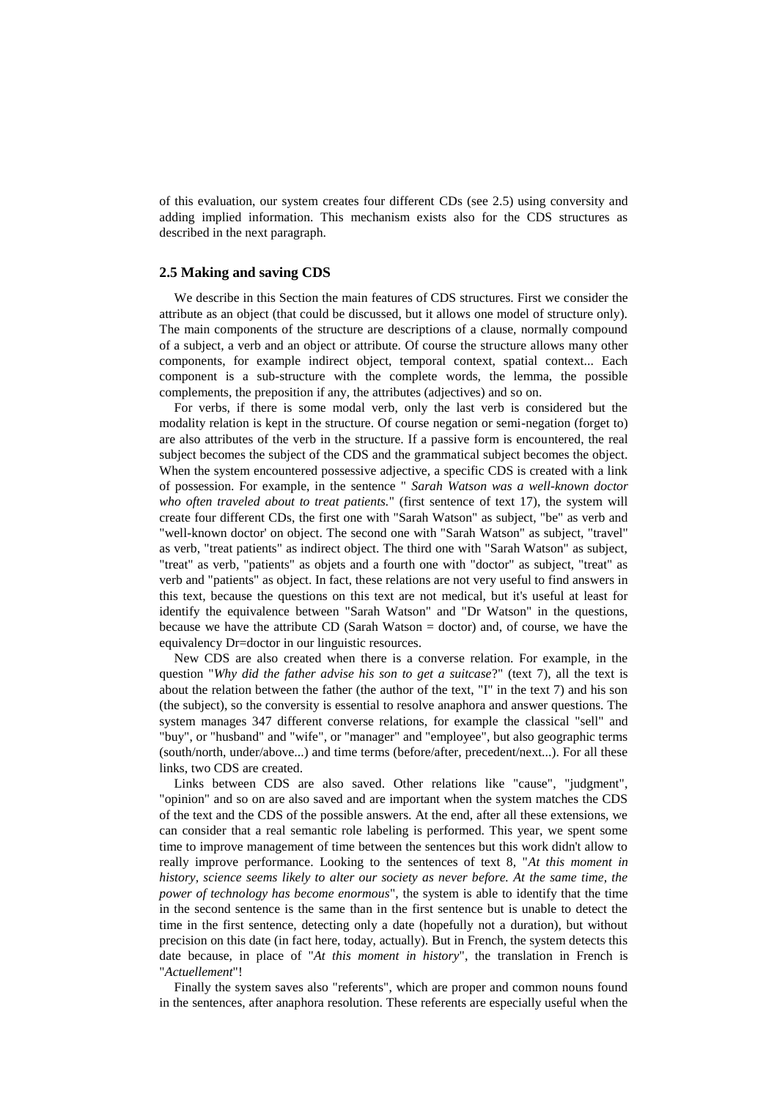of this evaluation, our system creates four different CDs (see 2.5) using conversity and adding implied information. This mechanism exists also for the CDS structures as described in the next paragraph.

#### **2.5 Making and saving CDS**

We describe in this Section the main features of CDS structures. First we consider the attribute as an object (that could be discussed, but it allows one model of structure only). The main components of the structure are descriptions of a clause, normally compound of a subject, a verb and an object or attribute. Of course the structure allows many other components, for example indirect object, temporal context, spatial context... Each component is a sub-structure with the complete words, the lemma, the possible complements, the preposition if any, the attributes (adjectives) and so on.

For verbs, if there is some modal verb, only the last verb is considered but the modality relation is kept in the structure. Of course negation or semi-negation (forget to) are also attributes of the verb in the structure. If a passive form is encountered, the real subject becomes the subject of the CDS and the grammatical subject becomes the object. When the system encountered possessive adjective, a specific CDS is created with a link of possession. For example, in the sentence " *Sarah Watson was a well-known doctor who often traveled about to treat patients.*" (first sentence of text 17), the system will create four different CDs, the first one with "Sarah Watson" as subject, "be" as verb and "well-known doctor' on object. The second one with "Sarah Watson" as subject, "travel" as verb, "treat patients" as indirect object. The third one with "Sarah Watson" as subject, "treat" as verb, "patients" as objets and a fourth one with "doctor" as subject, "treat" as verb and "patients" as object. In fact, these relations are not very useful to find answers in this text, because the questions on this text are not medical, but it's useful at least for identify the equivalence between "Sarah Watson" and "Dr Watson" in the questions, because we have the attribute CD (Sarah Watson  $=$  doctor) and, of course, we have the equivalency Dr=doctor in our linguistic resources.

New CDS are also created when there is a converse relation. For example, in the question "*Why did the father advise his son to get a suitcase*?" (text 7), all the text is about the relation between the father (the author of the text, "I" in the text 7) and his son (the subject), so the conversity is essential to resolve anaphora and answer questions. The system manages 347 different converse relations, for example the classical "sell" and "buy", or "husband" and "wife", or "manager" and "employee", but also geographic terms (south/north, under/above...) and time terms (before/after, precedent/next...). For all these links, two CDS are created.

Links between CDS are also saved. Other relations like "cause", "judgment", "opinion" and so on are also saved and are important when the system matches the CDS of the text and the CDS of the possible answers. At the end, after all these extensions, we can consider that a real semantic role labeling is performed. This year, we spent some time to improve management of time between the sentences but this work didn't allow to really improve performance. Looking to the sentences of text 8, "*At this moment in history, science seems likely to alter our society as never before. At the same time, the power of technology has become enormous*", the system is able to identify that the time in the second sentence is the same than in the first sentence but is unable to detect the time in the first sentence, detecting only a date (hopefully not a duration), but without precision on this date (in fact here, today, actually). But in French, the system detects this date because, in place of "*At this moment in history*", the translation in French is "*Actuellement*"!

Finally the system saves also "referents", which are proper and common nouns found in the sentences, after anaphora resolution. These referents are especially useful when the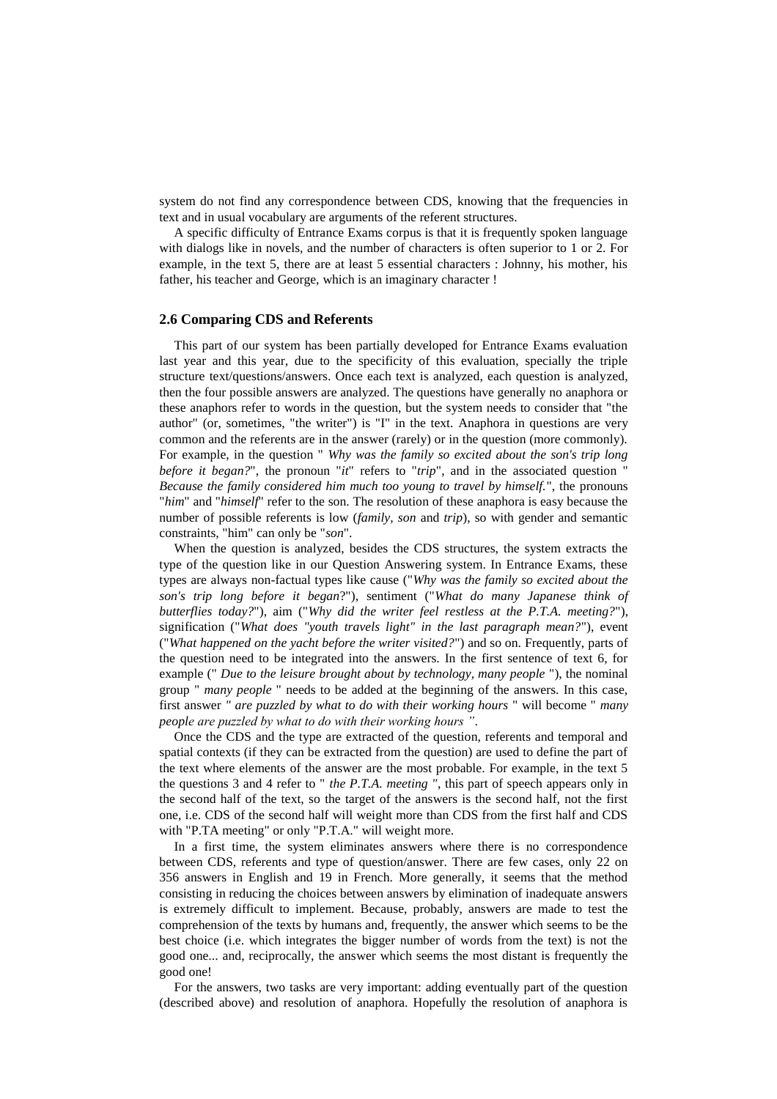system do not find any correspondence between CDS, knowing that the frequencies in text and in usual vocabulary are arguments of the referent structures.

A specific difficulty of Entrance Exams corpus is that it is frequently spoken language with dialogs like in novels, and the number of characters is often superior to 1 or 2. For example, in the text 5, there are at least 5 essential characters : Johnny, his mother, his father, his teacher and George, which is an imaginary character !

#### **2.6 Comparing CDS and Referents**

This part of our system has been partially developed for Entrance Exams evaluation last year and this year, due to the specificity of this evaluation, specially the triple structure text/questions/answers. Once each text is analyzed, each question is analyzed, then the four possible answers are analyzed. The questions have generally no anaphora or these anaphors refer to words in the question, but the system needs to consider that "the author" (or, sometimes, "the writer") is "I" in the text. Anaphora in questions are very common and the referents are in the answer (rarely) or in the question (more commonly). For example, in the question " *Why was the family so excited about the son's trip long before it began?*", the pronoun "*it*" refers to "*trip*", and in the associated question *Because the family considered him much too young to travel by himself.*", the pronouns "*him*" and "*himself*" refer to the son. The resolution of these anaphora is easy because the number of possible referents is low (*family, son* and *trip*), so with gender and semantic constraints, "him" can only be "*son*".

When the question is analyzed, besides the CDS structures, the system extracts the type of the question like in our Question Answering system. In Entrance Exams, these types are always non-factual types like cause ("*Why was the family so excited about the son's trip long before it began*?"), sentiment ("*What do many Japanese think of butterflies today?*"), aim ("*Why did the writer feel restless at the P.T.A. meeting?*"), signification ("*What does "youth travels light" in the last paragraph mean?*"), event ("*What happened on the yacht before the writer visited?*") and so on. Frequently, parts of the question need to be integrated into the answers. In the first sentence of text 6, for example (" *Due to the leisure brought about by technology, many people* "), the nominal group " *many people* " needs to be added at the beginning of the answers. In this case, first answer *" are puzzled by what to do with their working hours* " will become " *many people are puzzled by what to do with their working hours "*.

Once the CDS and the type are extracted of the question, referents and temporal and spatial contexts (if they can be extracted from the question) are used to define the part of the text where elements of the answer are the most probable. For example, in the text 5 the questions 3 and 4 refer to " *the P.T.A. meeting "*, this part of speech appears only in the second half of the text, so the target of the answers is the second half, not the first one, i.e. CDS of the second half will weight more than CDS from the first half and CDS with "P.TA meeting" or only "P.T.A." will weight more.

In a first time, the system eliminates answers where there is no correspondence between CDS, referents and type of question/answer. There are few cases, only 22 on 356 answers in English and 19 in French. More generally, it seems that the method consisting in reducing the choices between answers by elimination of inadequate answers is extremely difficult to implement. Because, probably, answers are made to test the comprehension of the texts by humans and, frequently, the answer which seems to be the best choice (i.e. which integrates the bigger number of words from the text) is not the good one... and, reciprocally, the answer which seems the most distant is frequently the good one!

For the answers, two tasks are very important: adding eventually part of the question (described above) and resolution of anaphora. Hopefully the resolution of anaphora is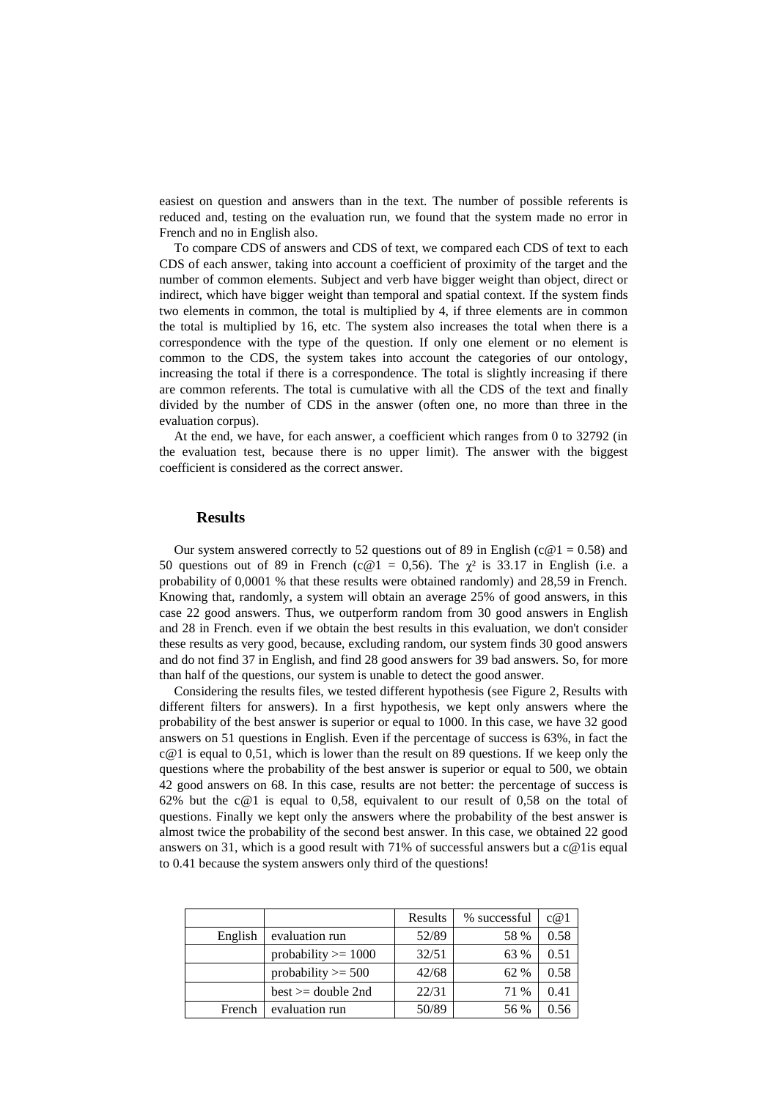easiest on question and answers than in the text. The number of possible referents is reduced and, testing on the evaluation run, we found that the system made no error in French and no in English also.

To compare CDS of answers and CDS of text, we compared each CDS of text to each CDS of each answer, taking into account a coefficient of proximity of the target and the number of common elements. Subject and verb have bigger weight than object, direct or indirect, which have bigger weight than temporal and spatial context. If the system finds two elements in common, the total is multiplied by 4, if three elements are in common the total is multiplied by 16, etc. The system also increases the total when there is a correspondence with the type of the question. If only one element or no element is common to the CDS, the system takes into account the categories of our ontology, increasing the total if there is a correspondence. The total is slightly increasing if there are common referents. The total is cumulative with all the CDS of the text and finally divided by the number of CDS in the answer (often one, no more than three in the evaluation corpus).

At the end, we have, for each answer, a coefficient which ranges from 0 to 32792 (in the evaluation test, because there is no upper limit). The answer with the biggest coefficient is considered as the correct answer.

#### **Results**

Our system answered correctly to 52 questions out of 89 in English ( $c@1 = 0.58$ ) and 50 questions out of 89 in French (c@1 = 0,56). The  $\chi^2$  is 33.17 in English (i.e. a probability of 0,0001 % that these results were obtained randomly) and 28,59 in French. Knowing that, randomly, a system will obtain an average 25% of good answers, in this case 22 good answers. Thus, we outperform random from 30 good answers in English and 28 in French. even if we obtain the best results in this evaluation, we don't consider these results as very good, because, excluding random, our system finds 30 good answers and do not find 37 in English, and find 28 good answers for 39 bad answers. So, for more than half of the questions, our system is unable to detect the good answer.

Considering the results files, we tested different hypothesis (see Figure 2, Results with different filters for answers). In a first hypothesis, we kept only answers where the probability of the best answer is superior or equal to 1000. In this case, we have 32 good answers on 51 questions in English. Even if the percentage of success is 63%, in fact the  $c@1$  is equal to 0,51, which is lower than the result on 89 questions. If we keep only the questions where the probability of the best answer is superior or equal to 500, we obtain 42 good answers on 68. In this case, results are not better: the percentage of success is 62% but the c@1 is equal to 0,58, equivalent to our result of 0,58 on the total of questions. Finally we kept only the answers where the probability of the best answer is almost twice the probability of the second best answer. In this case, we obtained 22 good answers on 31, which is a good result with 71% of successful answers but a c@1is equal to 0.41 because the system answers only third of the questions!

|         |                       | Results | % successful | c@1  |
|---------|-----------------------|---------|--------------|------|
| English | evaluation run        | 52/89   | 58 %         | 0.58 |
|         | probability $>= 1000$ | 32/51   | 63 %         | 0.51 |
|         | probability $>=$ 500  | 42/68   | 62 %         | 0.58 |
|         | best $>=$ double 2nd  | 22/31   | 71 %         | 0.41 |
| French  | evaluation run        | 50/89   | 56 %         |      |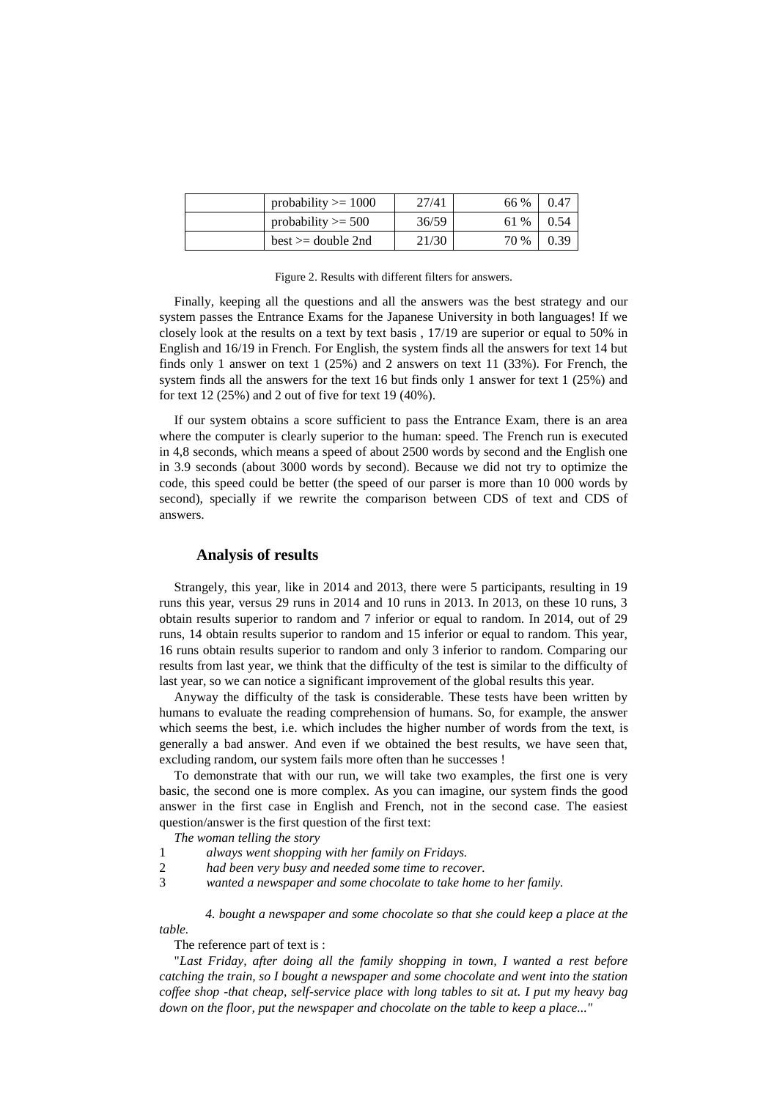| probability $\geq 1000$ | 27/41 | 66 % | 0.47 |
|-------------------------|-------|------|------|
| probability $\geq 500$  | 36/59 | 61 % | 0.54 |
| $best \ge = double 2nd$ | 21/30 | 70 % | 0.39 |

Figure 2. Results with different filters for answers.

Finally, keeping all the questions and all the answers was the best strategy and our system passes the Entrance Exams for the Japanese University in both languages! If we closely look at the results on a text by text basis , 17/19 are superior or equal to 50% in English and 16/19 in French. For English, the system finds all the answers for text 14 but finds only 1 answer on text 1 (25%) and 2 answers on text 11 (33%). For French, the system finds all the answers for the text 16 but finds only 1 answer for text 1 (25%) and for text 12 (25%) and 2 out of five for text 19 (40%).

If our system obtains a score sufficient to pass the Entrance Exam, there is an area where the computer is clearly superior to the human: speed. The French run is executed in 4,8 seconds, which means a speed of about 2500 words by second and the English one in 3.9 seconds (about 3000 words by second). Because we did not try to optimize the code, this speed could be better (the speed of our parser is more than 10 000 words by second), specially if we rewrite the comparison between CDS of text and CDS of answers.

### **Analysis of results**

Strangely, this year, like in 2014 and 2013, there were 5 participants, resulting in 19 runs this year, versus 29 runs in 2014 and 10 runs in 2013. In 2013, on these 10 runs, 3 obtain results superior to random and 7 inferior or equal to random. In 2014, out of 29 runs, 14 obtain results superior to random and 15 inferior or equal to random. This year, 16 runs obtain results superior to random and only 3 inferior to random. Comparing our results from last year, we think that the difficulty of the test is similar to the difficulty of last year, so we can notice a significant improvement of the global results this year.

Anyway the difficulty of the task is considerable. These tests have been written by humans to evaluate the reading comprehension of humans. So, for example, the answer which seems the best, i.e. which includes the higher number of words from the text, is generally a bad answer. And even if we obtained the best results, we have seen that, excluding random, our system fails more often than he successes !

To demonstrate that with our run, we will take two examples, the first one is very basic, the second one is more complex. As you can imagine, our system finds the good answer in the first case in English and French, not in the second case. The easiest question/answer is the first question of the first text:

- *The woman telling the story*
- 1 *always went shopping with her family on Fridays.*
- 2 *had been very busy and needed some time to recover.*
- 3 *wanted a newspaper and some chocolate to take home to her family.*

*4. bought a newspaper and some chocolate so that she could keep a place at the table.* 

The reference part of text is :

"*Last Friday, after doing all the family shopping in town, I wanted a rest before catching the train, so I bought a newspaper and some chocolate and went into the station coffee shop -that cheap, self-service place with long tables to sit at. I put my heavy bag down on the floor, put the newspaper and chocolate on the table to keep a place..."*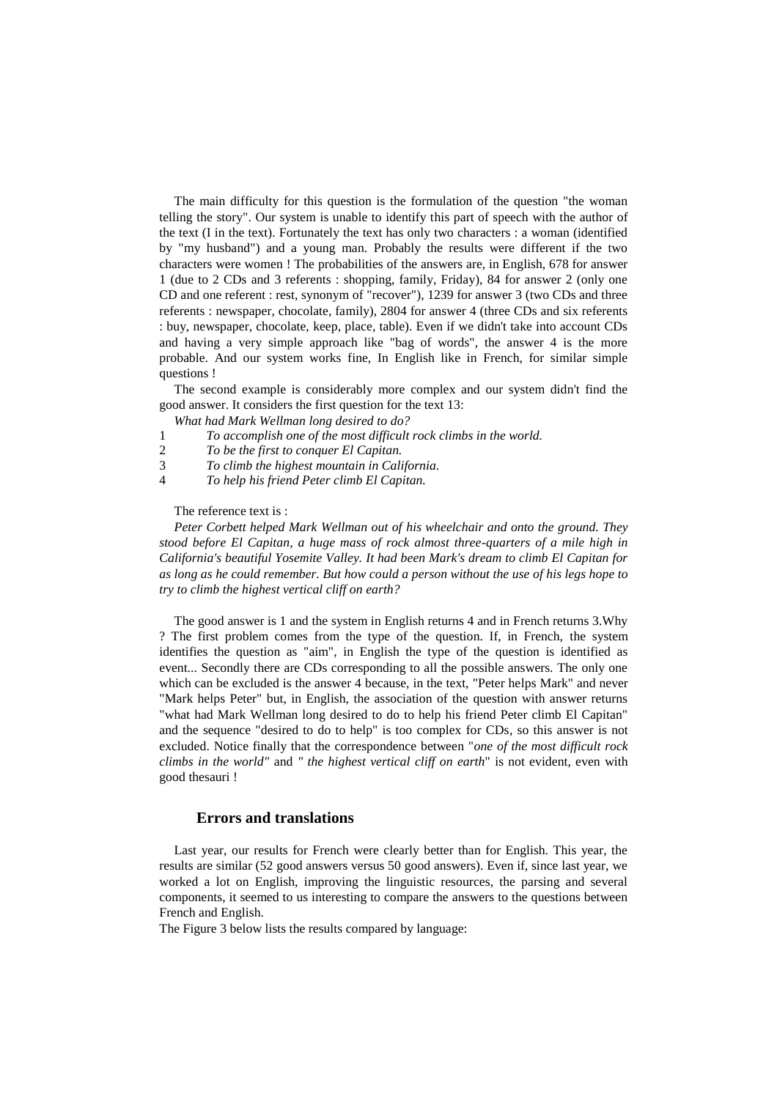The main difficulty for this question is the formulation of the question "the woman telling the story". Our system is unable to identify this part of speech with the author of the text (I in the text). Fortunately the text has only two characters : a woman (identified by "my husband") and a young man. Probably the results were different if the two characters were women ! The probabilities of the answers are, in English, 678 for answer 1 (due to 2 CDs and 3 referents : shopping, family, Friday), 84 for answer 2 (only one CD and one referent : rest, synonym of "recover"), 1239 for answer 3 (two CDs and three referents : newspaper, chocolate, family), 2804 for answer 4 (three CDs and six referents : buy, newspaper, chocolate, keep, place, table). Even if we didn't take into account CDs and having a very simple approach like "bag of words", the answer 4 is the more probable. And our system works fine, In English like in French, for similar simple questions !

The second example is considerably more complex and our system didn't find the good answer. It considers the first question for the text 13:

- *What had Mark Wellman long desired to do?*
- 1 *To accomplish one of the most difficult rock climbs in the world.*
- 2 *To be the first to conquer El Capitan.*
- 3 *To climb the highest mountain in California.*
- 4 *To help his friend Peter climb El Capitan.*

The reference text is :

*Peter Corbett helped Mark Wellman out of his wheelchair and onto the ground. They stood before El Capitan, a huge mass of rock almost three-quarters of a mile high in California's beautiful Yosemite Valley. It had been Mark's dream to climb El Capitan for as long as he could remember. But how could a person without the use of his legs hope to try to climb the highest vertical cliff on earth?* 

The good answer is 1 and the system in English returns 4 and in French returns 3.Why ? The first problem comes from the type of the question. If, in French, the system identifies the question as "aim", in English the type of the question is identified as event... Secondly there are CDs corresponding to all the possible answers. The only one which can be excluded is the answer 4 because, in the text, "Peter helps Mark" and never "Mark helps Peter" but, in English, the association of the question with answer returns "what had Mark Wellman long desired to do to help his friend Peter climb El Capitan" and the sequence "desired to do to help" is too complex for CDs, so this answer is not excluded. Notice finally that the correspondence between "*one of the most difficult rock climbs in the world"* and *" the highest vertical cliff on earth*" is not evident, even with good thesauri !

#### **Errors and translations**

Last year, our results for French were clearly better than for English. This year, the results are similar (52 good answers versus 50 good answers). Even if, since last year, we worked a lot on English, improving the linguistic resources, the parsing and several components, it seemed to us interesting to compare the answers to the questions between French and English.

The Figure 3 below lists the results compared by language: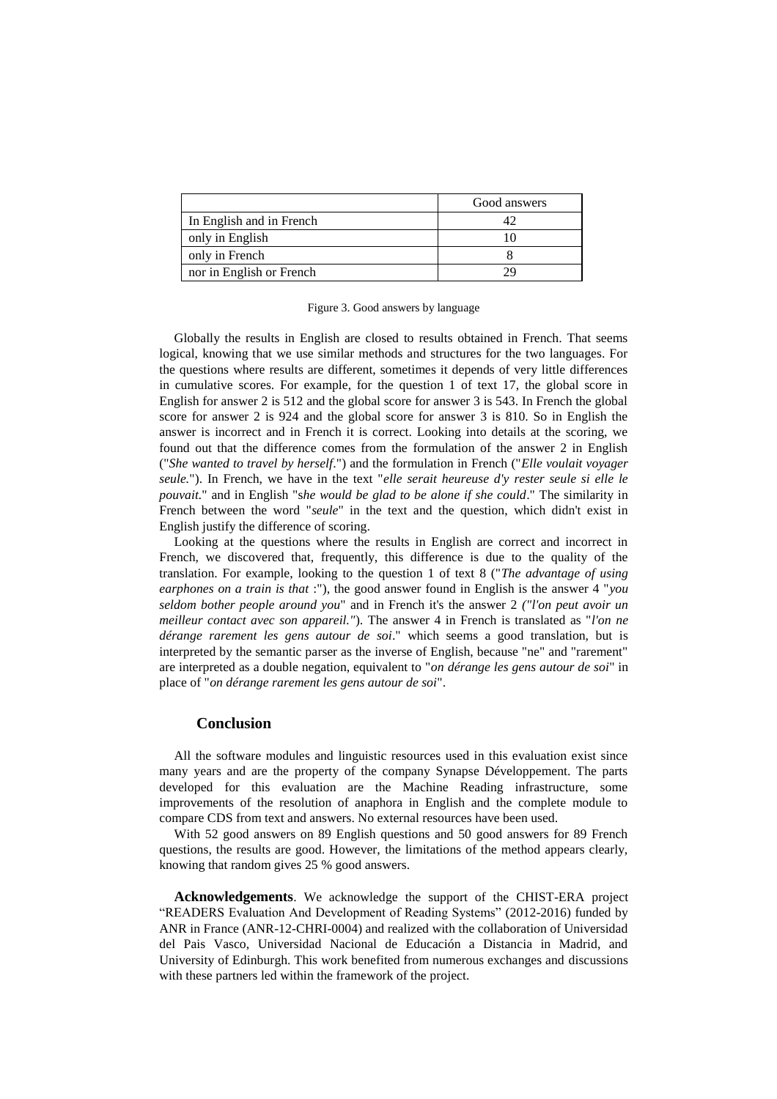|                          | Good answers |
|--------------------------|--------------|
| In English and in French |              |
| only in English          |              |
| only in French           |              |
| nor in English or French |              |

Figure 3. Good answers by language

Globally the results in English are closed to results obtained in French. That seems logical, knowing that we use similar methods and structures for the two languages. For the questions where results are different, sometimes it depends of very little differences in cumulative scores. For example, for the question 1 of text 17, the global score in English for answer 2 is 512 and the global score for answer 3 is 543. In French the global score for answer 2 is 924 and the global score for answer 3 is 810. So in English the answer is incorrect and in French it is correct. Looking into details at the scoring, we found out that the difference comes from the formulation of the answer 2 in English ("*She wanted to travel by herself*.") and the formulation in French ("*Elle voulait voyager seule.*"). In French, we have in the text "*elle serait heureuse d'y rester seule si elle le pouvait.*" and in English "s*he would be glad to be alone if she could*." The similarity in French between the word "*seule*" in the text and the question, which didn't exist in English justify the difference of scoring.

Looking at the questions where the results in English are correct and incorrect in French, we discovered that, frequently, this difference is due to the quality of the translation. For example, looking to the question 1 of text 8 ("*The advantage of using earphones on a train is that* :"), the good answer found in English is the answer 4 "*you seldom bother people around you*" and in French it's the answer 2 *("l'on peut avoir un meilleur contact avec son appareil."*). The answer 4 in French is translated as "*l'on ne dérange rarement les gens autour de soi*." which seems a good translation, but is interpreted by the semantic parser as the inverse of English, because "ne" and "rarement" are interpreted as a double negation, equivalent to "*on dérange les gens autour de soi*" in place of "*on dérange rarement les gens autour de soi*".

#### **Conclusion**

All the software modules and linguistic resources used in this evaluation exist since many years and are the property of the company Synapse Développement. The parts developed for this evaluation are the Machine Reading infrastructure, some improvements of the resolution of anaphora in English and the complete module to compare CDS from text and answers. No external resources have been used.

With 52 good answers on 89 English questions and 50 good answers for 89 French questions, the results are good. However, the limitations of the method appears clearly, knowing that random gives 25 % good answers.

**Acknowledgements**. We acknowledge the support of the CHIST-ERA project "READERS Evaluation And Development of Reading Systems" (2012-2016) funded by ANR in France (ANR-12-CHRI-0004) and realized with the collaboration of Universidad del Pais Vasco, Universidad Nacional de Educación a Distancia in Madrid, and University of Edinburgh. This work benefited from numerous exchanges and discussions with these partners led within the framework of the project.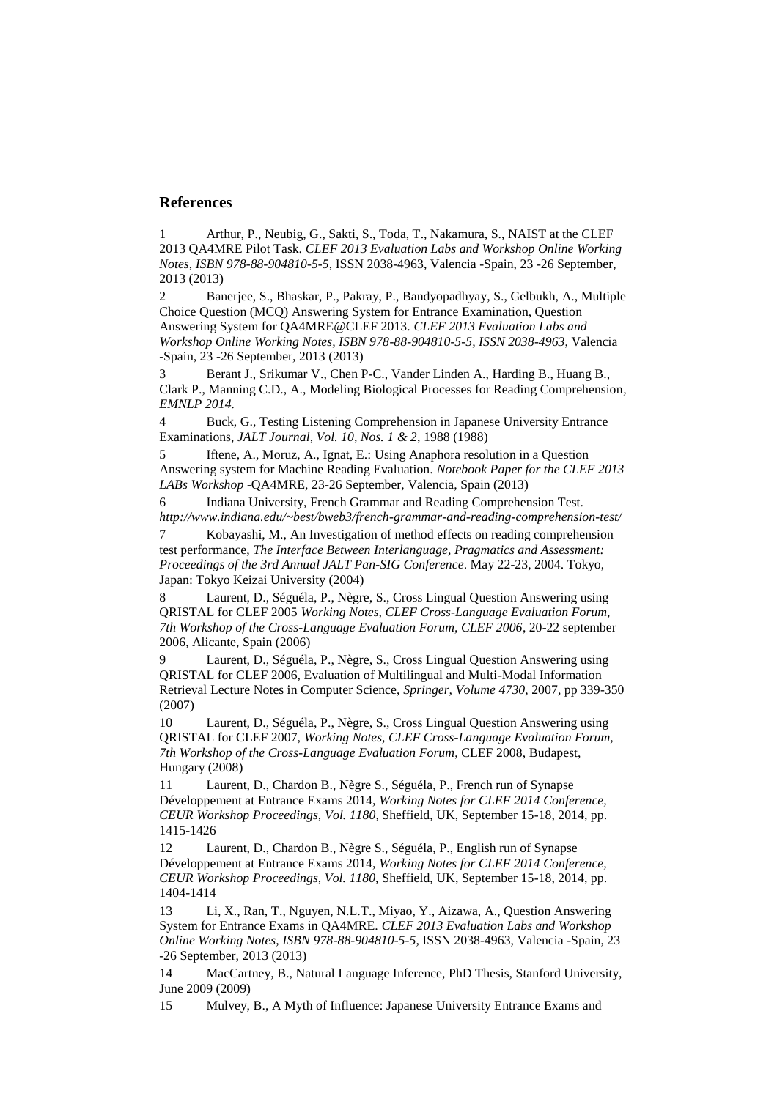### **References**

1 Arthur, P., Neubig, G., Sakti, S., Toda, T., Nakamura, S., NAIST at the CLEF 2013 QA4MRE Pilot Task. *CLEF 2013 Evaluation Labs and Workshop Online Working Notes, ISBN 978-88-904810-5-5,* ISSN 2038-4963, Valencia -Spain, 23 -26 September, 2013 (2013)

2 Banerjee, S., Bhaskar, P., Pakray, P., Bandyopadhyay, S., Gelbukh, A., Multiple Choice Question (MCQ) Answering System for Entrance Examination, Question Answering System for QA4MRE@CLEF 2013. *CLEF 2013 Evaluation Labs and Workshop Online Working Notes, ISBN 978-88-904810-5-5, ISSN 2038-4963*, Valencia -Spain, 23 -26 September, 2013 (2013)

3 Berant J., Srikumar V., Chen P-C., Vander Linden A., Harding B., Huang B., Clark P., Manning C.D., A., Modeling Biological Processes for Reading Comprehension*, EMNLP 2014.* 

4 Buck, G., Testing Listening Comprehension in Japanese University Entrance Examinations, *JALT Journal, Vol. 10, Nos. 1 & 2*, 1988 (1988)

5 Iftene, A., Moruz, A., Ignat, E.: Using Anaphora resolution in a Question Answering system for Machine Reading Evaluation. *Notebook Paper for the CLEF 2013 LABs Workshop* -QA4MRE, 23-26 September, Valencia, Spain (2013)

6 Indiana University, French Grammar and Reading Comprehension Test. *http://www.indiana.edu/~best/bweb3/french-grammar-and-reading-comprehension-test/* 

7 Kobayashi, M., An Investigation of method effects on reading comprehension test performance, *The Interface Between Interlanguage, Pragmatics and Assessment: Proceedings of the 3rd Annual JALT Pan-SIG Conference*. May 22-23, 2004. Tokyo, Japan: Tokyo Keizai University (2004)

8 Laurent, D., Séguéla, P., Nègre, S., Cross Lingual Question Answering using QRISTAL for CLEF 2005 *Working Notes, CLEF Cross-Language Evaluation Forum, 7th Workshop of the Cross-Language Evaluation Forum, CLEF 2006*, 20-22 september 2006, Alicante, Spain (2006)

9 Laurent, D., Séguéla, P., Nègre, S., Cross Lingual Question Answering using QRISTAL for CLEF 2006, Evaluation of Multilingual and Multi-Modal Information Retrieval Lecture Notes in Computer Science, *Springer, Volume 4730*, 2007, pp 339-350 (2007)

10 Laurent, D., Séguéla, P., Nègre, S., Cross Lingual Question Answering using QRISTAL for CLEF 2007, *Working Notes, CLEF Cross-Language Evaluation Forum, 7th Workshop of the Cross-Language Evaluation Forum*, CLEF 2008, Budapest, Hungary (2008)

11 Laurent, D., Chardon B., Nègre S., Séguéla, P., French run of Synapse Développement at Entrance Exams 2014, *Working Notes for CLEF 2014 Conference, CEUR Workshop Proceedings, Vol. 1180,* Sheffield, UK, September 15-18, 2014, pp. 1415-1426

12 Laurent, D., Chardon B., Nègre S., Séguéla, P., English run of Synapse Développement at Entrance Exams 2014, *Working Notes for CLEF 2014 Conference, CEUR Workshop Proceedings, Vol. 1180,* Sheffield, UK, September 15-18, 2014, pp. 1404-1414

13 Li, X., Ran, T., Nguyen, N.L.T., Miyao, Y., Aizawa, A., Question Answering System for Entrance Exams in QA4MRE. *CLEF 2013 Evaluation Labs and Workshop Online Working Notes, ISBN 978-88-904810-5-5,* ISSN 2038-4963, Valencia -Spain, 23 -26 September, 2013 (2013)

14 MacCartney, B., Natural Language Inference, PhD Thesis, Stanford University, June 2009 (2009)

15 Mulvey, B., A Myth of Influence: Japanese University Entrance Exams and